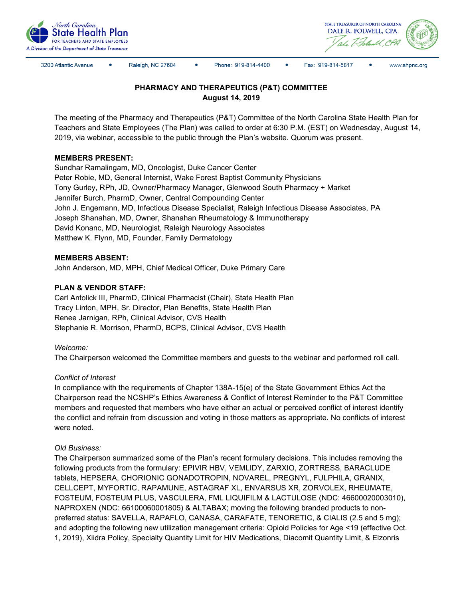



3200 Atlantic Avenue

Raleigh, NC 27604

Phone: 919-814-4400

 $\bullet$ Fax: 919-814-5817 www.shpnc.org

# **PHARMACY AND THERAPEUTICS (P&T) COMMITTEE August 14, 2019**

The meeting of the Pharmacy and Therapeutics (P&T) Committee of the North Carolina State Health Plan for Teachers and State Employees (The Plan) was called to order at 6:30 P.M. (EST) on Wednesday, August 14, 2019, via webinar, accessible to the public through the Plan's website. Quorum was present.

### **MEMBERS PRESENT:**

Sundhar Ramalingam, MD, Oncologist, Duke Cancer Center Peter Robie, MD, General Internist, Wake Forest Baptist Community Physicians Tony Gurley, RPh, JD, Owner/Pharmacy Manager, Glenwood South Pharmacy + Market Jennifer Burch, PharmD, Owner, Central Compounding Center John J. Engemann, MD, Infectious Disease Specialist, Raleigh Infectious Disease Associates, PA Joseph Shanahan, MD, Owner, Shanahan Rheumatology & Immunotherapy David Konanc, MD, Neurologist, Raleigh Neurology Associates Matthew K. Flynn, MD, Founder, Family Dermatology

### **MEMBERS ABSENT:**

John Anderson, MD, MPH, Chief Medical Officer, Duke Primary Care

## **PLAN & VENDOR STAFF:**

Carl Antolick III, PharmD, Clinical Pharmacist (Chair), State Health Plan Tracy Linton, MPH, Sr. Director, Plan Benefits, State Health Plan Renee Jarnigan, RPh, Clinical Advisor, CVS Health Stephanie R. Morrison, PharmD, BCPS, Clinical Advisor, CVS Health

### *Welcome:*

The Chairperson welcomed the Committee members and guests to the webinar and performed roll call.

### *Conflict of Interest*

In compliance with the requirements of Chapter 138A-15(e) of the State Government Ethics Act the Chairperson read the NCSHP's Ethics Awareness & Conflict of Interest Reminder to the P&T Committee members and requested that members who have either an actual or perceived conflict of interest identify the conflict and refrain from discussion and voting in those matters as appropriate. No conflicts of interest were noted.

### *Old Business:*

The Chairperson summarized some of the Plan's recent formulary decisions. This includes removing the following products from the formulary: EPIVIR HBV, VEMLIDY, ZARXIO, ZORTRESS, BARACLUDE tablets, HEPSERA, CHORIONIC GONADOTROPIN, NOVAREL, PREGNYL, FULPHILA, GRANIX, CELLCEPT, MYFORTIC, RAPAMUNE, ASTAGRAF XL, ENVARSUS XR, ZORVOLEX, RHEUMATE, FOSTEUM, FOSTEUM PLUS, VASCULERA, FML LIQUIFILM & LACTULOSE (NDC: 46600020003010), NAPROXEN (NDC: 66100060001805) & ALTABAX; moving the following branded products to nonpreferred status: SAVELLA, RAPAFLO, CANASA, CARAFATE, TENORETIC, & CIALIS (2.5 and 5 mg); and adopting the following new utilization management criteria: Opioid Policies for Age <19 (effective Oct. 1, 2019), Xiidra Policy, Specialty Quantity Limit for HIV Medications, Diacomit Quantity Limit, & Elzonris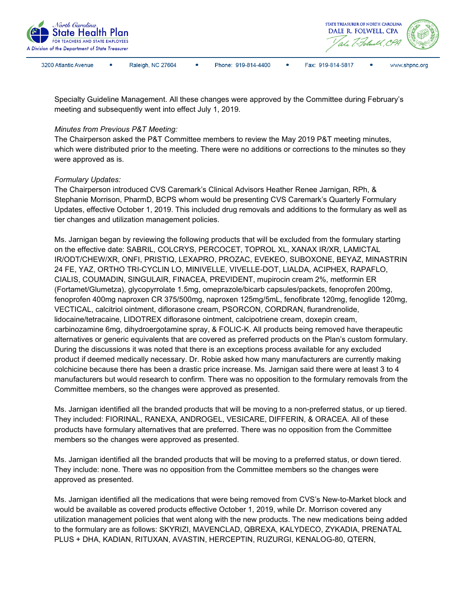

Specialty Guideline Management. All these changes were approved by the Committee during February's meeting and subsequently went into effect July 1, 2019.

#### *Minutes from Previous P&T Meeting:*

The Chairperson asked the P&T Committee members to review the May 2019 P&T meeting minutes, which were distributed prior to the meeting. There were no additions or corrections to the minutes so they were approved as is.

#### *Formulary Updates:*

The Chairperson introduced CVS Caremark's Clinical Advisors Heather Renee Jarnigan, RPh, & Stephanie Morrison, PharmD, BCPS whom would be presenting CVS Caremark's Quarterly Formulary Updates, effective October 1, 2019. This included drug removals and additions to the formulary as well as tier changes and utilization management policies.

Ms. Jarnigan began by reviewing the following products that will be excluded from the formulary starting on the effective date: SABRIL, COLCRYS, PERCOCET, TOPROL XL, XANAX IR/XR, LAMICTAL IR/ODT/CHEW/XR, ONFI, PRISTIQ, LEXAPRO, PROZAC, EVEKEO, SUBOXONE, BEYAZ, MINASTRIN 24 FE, YAZ, ORTHO TRI-CYCLIN LO, MINIVELLE, VIVELLE-DOT, LIALDA, ACIPHEX, RAPAFLO, CIALIS, COUMADIN, SINGULAIR, FINACEA, PREVIDENT, mupirocin cream 2%, metformin ER (Fortamet/Glumetza), glycopyrrolate 1.5mg, omeprazole/bicarb capsules/packets, fenoprofen 200mg, fenoprofen 400mg naproxen CR 375/500mg, naproxen 125mg/5mL, fenofibrate 120mg, fenoglide 120mg, VECTICAL, calcitriol ointment, diflorasone cream, PSORCON, CORDRAN, flurandrenolide, lidocaine/tetracaine, LIDOTREX diflorasone ointment, calcipotriene cream, doxepin cream, carbinozamine 6mg, dihydroergotamine spray, & FOLIC-K. All products being removed have therapeutic alternatives or generic equivalents that are covered as preferred products on the Plan's custom formulary. During the discussions it was noted that there is an exceptions process available for any excluded product if deemed medically necessary. Dr. Robie asked how many manufacturers are currently making colchicine because there has been a drastic price increase. Ms. Jarnigan said there were at least 3 to 4 manufacturers but would research to confirm. There was no opposition to the formulary removals from the Committee members, so the changes were approved as presented.

Ms. Jarnigan identified all the branded products that will be moving to a non-preferred status, or up tiered. They included: FIORINAL, RANEXA, ANDROGEL, VESICARE, DIFFERIN, & ORACEA. All of these products have formulary alternatives that are preferred. There was no opposition from the Committee members so the changes were approved as presented.

Ms. Jarnigan identified all the branded products that will be moving to a preferred status, or down tiered. They include: none. There was no opposition from the Committee members so the changes were approved as presented.

Ms. Jarnigan identified all the medications that were being removed from CVS's New-to-Market block and would be available as covered products effective October 1, 2019, while Dr. Morrison covered any utilization management policies that went along with the new products. The new medications being added to the formulary are as follows: SKYRIZI, MAVENCLAD, QBREXA, KALYDECO, ZYKADIA, PRENATAL PLUS + DHA, KADIAN, RITUXAN, AVASTIN, HERCEPTIN, RUZURGI, KENALOG-80, QTERN,